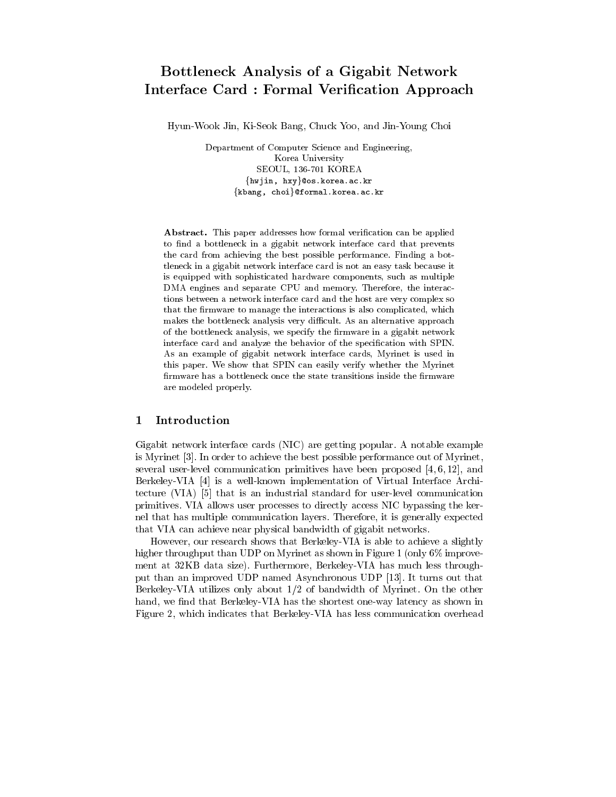# Bottleneck Analysis of a Gigabit Network Interface Card : Formal Verication Approach

Hyun-Wook Jin, Ki-Seok Bang, Chuck Yoo, and Jin-Young Choi

Department of Computer Science and Engineering, Korea University SEOUL, 136-701 KOREA {hwjin, hxy}@os.korea.ac.kr {kbang, choi}@formal.korea.ac.kr

Abstract. This paper addresses how formal verification can be applied to find a bottleneck in a gigabit network interface card that prevents the card from achieving the best possible performance. Finding a bottleneck in a gigabit network interface card is not an easy task because it is equipped with sophisticated hardware components, such as multiple DMA engines and separate CPU and memory. Therefore, the interactions between a network interface card and the host are very complex so that the firmware to manage the interactions is also complicated, which makes the bottleneck analysis very difficult. As an alternative approach of the bottleneck analysis, we specify the firmware in a gigabit network interface card and analyze the behavior of the specification with SPIN. As an example of gigabit network interface cards, Myrinet is used in this paper. We show that SPIN can easily verify whether the Myrinet firmware has a bottleneck once the state transitions inside the firmware are modeled properly.

### 1Introduction

Gigabit network interface cards (NIC) are getting popular. A notable example is Myrinet [3]. In order to achieve the best possible performance out of Myrinet, several user-level communication primitives have been proposed [4, 6, 12], and Berkeley-VIA [4] is a well-known implementation of Virtual Interface Architecture (VIA) [5] that is an industrial standard for user-level communication primitives. VIA allows user processes to directly access NIC bypassing the kernel that has multiple communication layers. Therefore, it is generally expected that VIA can achieve near physical bandwidth of gigabit networks.

However, our research shows that Berkeley-VIA is able to achieve a slightly higher throughput than UDP on Myrinet as shown in Figure 1 (only 6% improvement at 32KB data size). Furthermore, Berkeley-VIA has much less throughput than an improved UDP named Asynchronous UDP [13]. It turns out that Berkeley-VIA utilizes only about 1/2 of bandwidth of Myrinet. On the other hand, we find that Berkeley-VIA has the shortest one-way latency as shown in Figure 2, which indicates that Berkeley-VIA has less communication overhead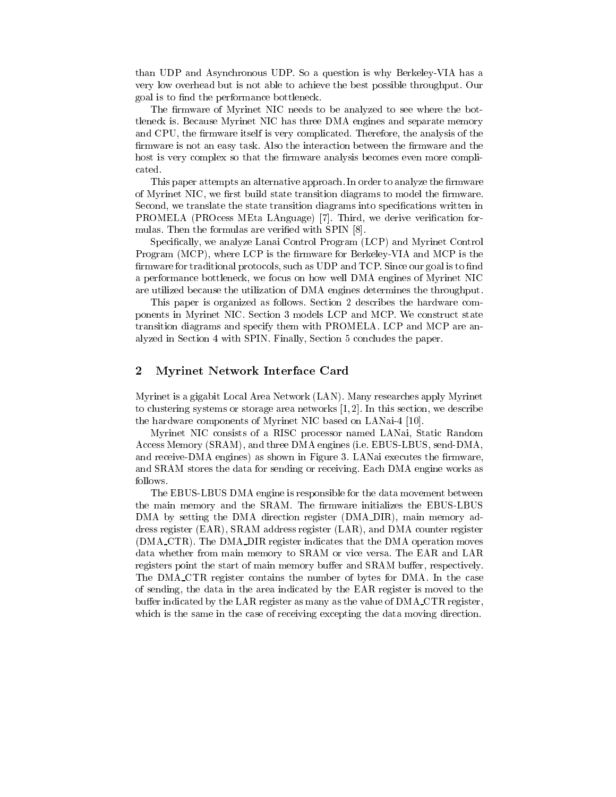than UDP and Asynchronous UDP. So a question is why Berkeley-VIA has a very low overhead but is not able to achieve the best possible throughput. Our goal is to find the performance bottleneck.

The firmware of Myrinet NIC needs to be analyzed to see where the bottleneck is. Because Myrinet NIC has three DMA engines and separate memory and CPU, the firmware itself is very complicated. Therefore, the analysis of the firmware is not an easy task. Also the interaction between the firmware and the host is very complex so that the firmware analysis becomes even more complicated.

This paper attempts an alternative approach. In order to analyze the firmware of Myrinet NIC, we first build state transition diagrams to model the firmware. Second, we translate the state transition diagrams into specifications written in PROMELA (PROcess MEta LAnguage) [7]. Third, we derive verication for mulas. Then the formulas are verified with SPIN [8].

Specically, we analyze Lanai Control Program (LCP) and Myrinet Control Program (MCP), where LCP is the firmware for Berkeley-VIA and MCP is the firmware for traditional protocols, such as UDP and TCP. Since our goal is to find a performance bottleneck, we focus on how well DMA engines of Myrinet NIC are utilized because the utilization of DMA engines determines the throughput.

This paper is organized as follows. Section 2 describes the hardware components in Myrinet NIC. Section 3 models LCP and MCP. We construct state transition diagrams and specify them with PROMELA. LCP and MCP are analyzed in Section 4 with SPIN. Finally, Section 5 concludes the paper.

#### 2Myrinet Network Interface Card

Myrinet is a gigabit Local Area Network (LAN). Many researches apply Myrinet to clustering systems or storage area networks [1, 2]. In this section, we describe the hardware components of Myrinet NIC based on LANai-4 [10].

Myrinet NIC consists of a RISC processor named LANai, Static Random Access Memory (SRAM), and three DMA engines (i.e. EBUS-LBUS, send-DMA, and receive-DMA engines) as shown in Figure 3. LANai executes the firmware, and SRAM stores the data for sending or receiving. Each DMA engine works as follows.

The EBUS-LBUS DMA engine is responsible for the data movement between the main memory and the SRAM. The firmware initializes the EBUS-LBUS DMA by setting the DMA direction register (DMA DIR), main memory address register (EAR), SRAM address register (LAR), and DMA counter register (DMA CTR). The DMA DIR register indicates that the DMA operation moves data whether from main memory to SRAM or vice versa. The EAR and LAR registers point the start of main memory buffer and SRAM buffer, respectively. The DMA\_CTR register contains the number of bytes for DMA. In the case of sending, the data in the area indicated by the EAR register is moved to the buffer indicated by the LAR register as many as the value of  $\text{DMA\_CTR}$  register, which is the same in the case of receiving excepting the data moving direction.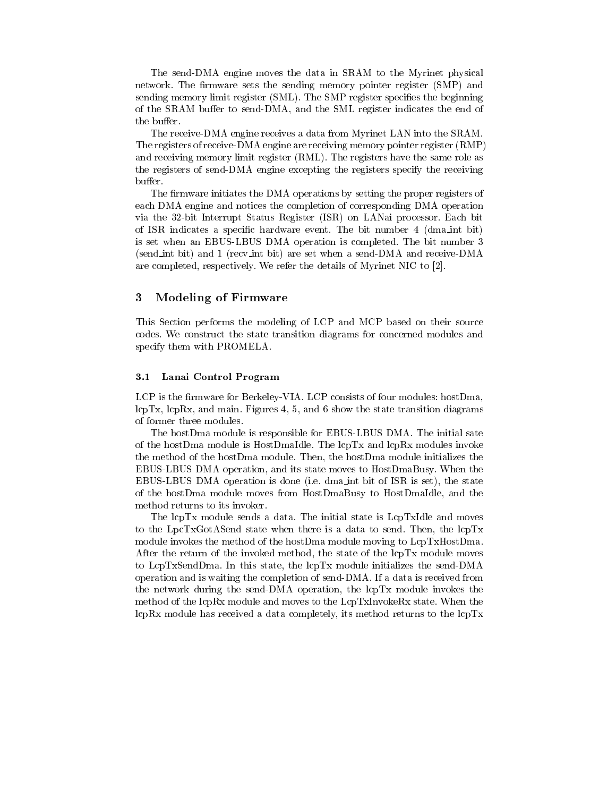The send-DMA engine moves the data in SRAM to the Myrinet physical network. The firmware sets the sending memory pointer register (SMP) and sending memory limit register (SML). The SMP register specifies the beginning of the SRAM buffer to send-DMA, and the SML register indicates the end of the buffer.

The receive-DMA engine receives a data from Myrinet LAN into the SRAM. The registers of receive-DMA engine are receiving memory pointer register (RMP) and receiving memory limit register (RML). The registers have the same role as the registers of send-DMA engine excepting the registers specify the receiving buffer.

The firmware initiates the DMA operations by setting the proper registers of each DMA engine and notices the completion of corresponding DMA operation via the 32-bit Interrupt Status Register (ISR) on LANai processor. Each bit of ISR indicates a specic hardware event. The bit number 4 (dma int bit) is set when an EBUS-LBUS DMA operation is completed. The bit number 3 (send int bit) and 1 (recv int bit) are set when a send-DMA and receive-DMA are completed, respectively. We refer the details of Myrinet NIC to [2].

#### 3Modeling of Firmware

This Section performs the modeling of LCP and MCP based on their source codes. We construct the state transition diagrams for concerned modules and specify them with PROMELA.

## 3.1 Lanai Control Program

LCP is the firmware for Berkeley-VIA. LCP consists of four modules: hostDma,  $\rm{lcpTx}, \rm{lcpRx}, \rm{and} \rm{main}$ . Figures 4, 5, and 6 show the state transition diagrams of former three modules.

The hostDma module is responsible for EBUS-LBUS DMA. The initial sate of the hostDma module is HostDmaIdle. The lcpTx and lcpRx modules invoke the method of the hostDma module. Then, the hostDma module initializes the EBUS-LBUS DMA operation, and its state moves to HostDmaBusy. When the EBUS-LBUS DMA operation is done (i.e. dma int bit of ISR is set), the state of the hostDma module moves from HostDmaBusy to HostDmaIdle, and the method returns to its invoker.

The lcpTx module sends a data. The initial state is LcpTxIdle and moves to the LpcTxGotASend state when there is a data to send. Then, the lcpTx module invokes the method of the hostDma module moving to LcpTxHostDma. After the return of the invoked method, the state of the lcpTx module moves to LcpTxSendDma. In this state, the lcpTx module initializes the send-DMA operation and is waiting the completion of send-DMA. If a data is received from the network during the send-DMA operation, the lcpTx module invokes the method of the lcpRx module and moves to the LcpTxInvokeRx state. When the  $\text{lcpRx}$  module has received a data completely, its method returns to the  $\text{lcpTx}$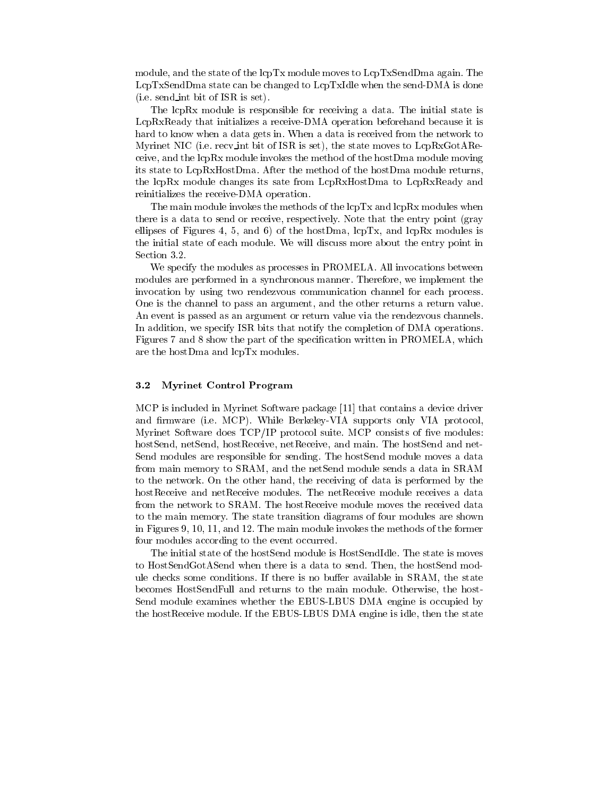module, and the state of the lcpTx module moves to LcpTxSendDma again. The LcpTxSendDma state can be changed to LcpTxIdle when the send-DMA is done (i.e. send int bit of ISR is set).

The lcpRx module is responsible for receiving a data. The initial state is LcpRxReady that initializes a receive-DMA operation beforehand because it is hard to know when a data gets in. When a data is received from the network to Myrinet NIC (i.e. recv\_int bit of ISR is set), the state moves to  $LcpRxGotAR$ eceive, and the lcpRx module invokes the method of the hostDma module moving its state to LcpRxHostDma. After the method of the hostDma module returns, the lcpRx module changes its sate from LcpRxHostDma to LcpRxReady and reinitializes the receive-DMA operation.

The main module invokes the methods of the lcpTx and lcpRx modules when there is a data to send or receive, respectively. Note that the entry point (gray ellipses of Figures 4, 5, and 6) of the hostDma,  $\text{lcpTx}$ , and  $\text{lcpRx}$  modules is the initial state of each module. We will discuss more about the entry point in Section 3.2.

We specify the modules as processes in PROMELA. All invocations between modules are performed in a synchronous manner. Therefore, we implement the invocation by using two rendezvous communication channel for each process. One is the channel to pass an argument, and the other returns a return value. An event is passed as an argument or return value via the rendezvous channels. In addition, we specify ISR bits that notify the completion of DMA operations. Figures 7 and 8 show the part of the specification written in PROMELA, which are the hostDma and lcpTx modules.

#### 3.2Myrinet Control Program

MCP is included in Myrinet Software package [11] that contains a device driver and firmware (i.e. MCP). While Berkeley-VIA supports only VIA protocol, Myrinet Software does  $TCP/IP$  protocol suite. MCP consists of five modules: hostSend, netSend, hostReceive, netReceive, and main. The hostSend and net-Send modules are responsible for sending. The hostSend module moves a data from main memory to SRAM, and the netSend module sends a data in SRAM to the network. On the other hand, the receiving of data is performed by the hostReceive and netReceive modules. The netReceive module receives a data from the network to SRAM. The hostReceive module moves the received data to the main memory. The state transition diagrams of four modules are shown in Figures 9, 10, 11, and 12. The main module invokes the methods of the former four modules according to the event occurred.

The initial state of the hostSend module is HostSendIdle. The state is moves to HostSendGotASend when there is a data to send. Then, the hostSend module checks some conditions. If there is no buffer available in SRAM, the state becomes HostSendFull and returns to the main module. Otherwise, the host-Send module examines whether the EBUS-LBUS DMA engine is occupied by the hostReceive module. If the EBUS-LBUS DMA engine is idle, then the state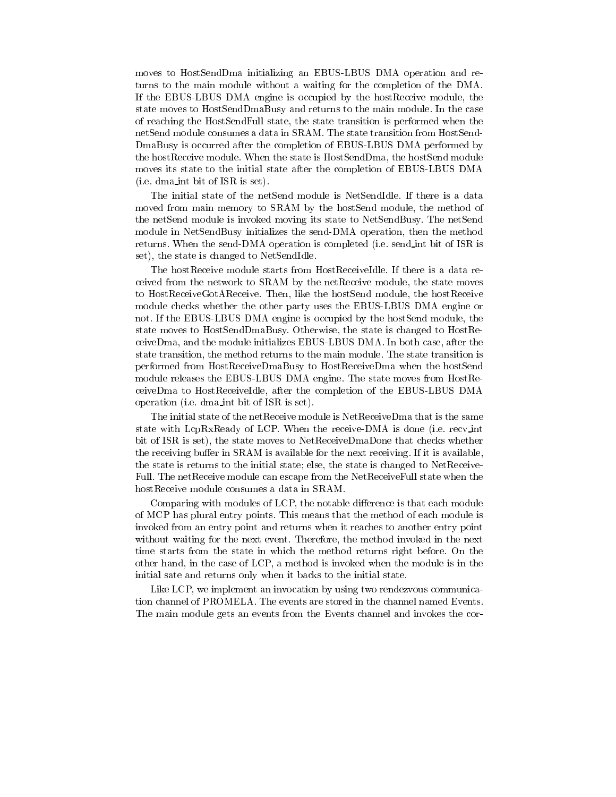moves to HostSendDma initializing an EBUS-LBUS DMA operation and returns to the main module without a waiting for the completion of the DMA. If the EBUS-LBUS DMA engine is occupied by the hostReceive module, the state moves to HostSendDmaBusy and returns to the main module. In the case of reaching the HostSendFull state, the state transition is performed when the netSend module consumes a data in SRAM. The state transition from HostSend-DmaBusy is occurred after the completion of EBUS-LBUS DMA performed by the hostReceive module. When the state is HostSendDma, the hostSend module moves its state to the initial state after the completion of EBUS-LBUS DMA (i.e. dma int bit of ISR is set).

The initial state of the netSend module is NetSendIdle. If there is a data moved from main memory to SRAM by the hostSend module, the method of the netSend module is invoked moving its state to NetSendBusy. The netSend module in NetSendBusy initializes the send-DMA operation, then the method returns. When the send-DMA operation is completed (i.e. send int bit of ISR is set), the state is changed to NetSendIdle.

The hostReceive module starts from HostReceiveIdle. If there is a data received from the network to SRAM by the netReceive module, the state moves to HostReceiveGotAReceive. Then, like the hostSend module, the hostReceive module checks whether the other party uses the EBUS-LBUS DMA engine or not. If the EBUS-LBUS DMA engine is occupied by the hostSend module, the state moves to HostSendDmaBusy. Otherwise, the state is changed to HostReceiveDma, and the module initializes EBUS-LBUS DMA. In both case, after the state transition, the method returns to the main module. The state transition is performed from HostReceiveDmaBusy to HostReceiveDma when the hostSend module releases the EBUS-LBUS DMA engine. The state moves from HostReceiveDma to HostReceiveIdle, after the completion of the EBUS-LBUS DMA operation (i.e. dma int bit of ISR is set).

The initial state of the netReceive module is NetReceiveDma that is the same state with LcpRxReady of LCP. When the receive-DMA is done (i.e. recv\_int bit of ISR is set), the state moves to NetReceiveDmaDone that checks whether the receiving buffer in  $SRAM$  is available for the next receiving. If it is available, the state is returns to the initial state; else, the state is changed to NetReceive-Full. The netReceive module can escape from the NetReceiveFull state when the hostReceive module consumes a data in SRAM.

Comparing with modules of LCP, the notable difference is that each module of MCP has plural entry points. This means that the method of each module is invoked from an entry point and returns when it reaches to another entry point without waiting for the next event. Therefore, the method invoked in the next time starts from the state in which the method returns right before. On the other hand, in the case of LCP, a method is invoked when the module is in the initial sate and returns only when it backs to the initial state.

Like LCP, we implement an invocation by using two rendezvous communication channel of PROMELA. The events are stored in the channel named Events. The main module gets an events from the Events channel and invokes the cor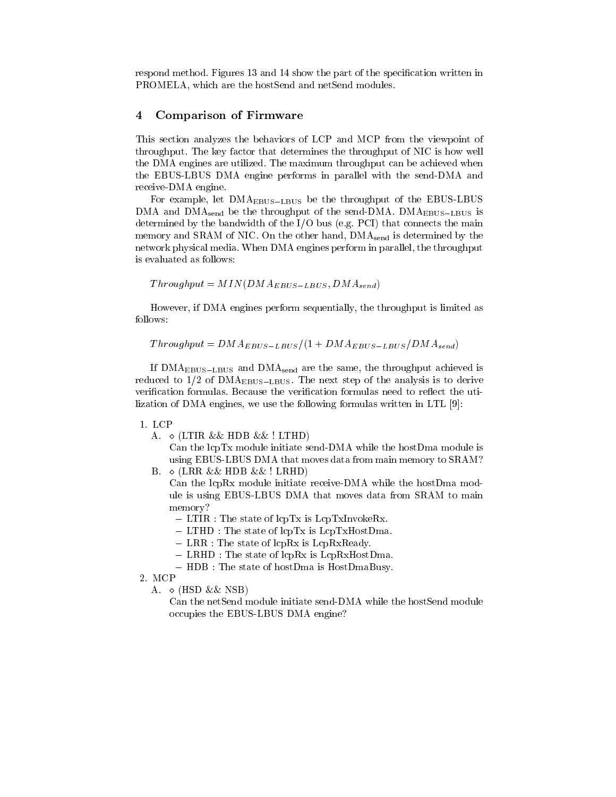respond method. Figures 13 and 14 show the part of the specication written in PROMELA, which are the hostSend and netSend modules.

#### 4Comparison of Firmware

This section analyzes the behaviors of LCP and MCP from the viewpoint of throughput. The key factor that determines the throughput of NIC is how well the DMA engines are utilized. The maximum throughput can be achieved when the EBUS-LBUS DMA engine performs in parallel with the send-DMA and receive-DMA engine.

For example, let  $\text{DMA}_{\text{EBUS}-\text{LBUS}}$  be the throughput of the EBUS-LBUS DMA and DMA<sub>send</sub> be the throughput of the send-DMA. DMA $_{EBUS-LBUS}$  is determined by the bandwidth of the I/O bus (e.g. PCI) that connects the main memory and SRAM of NIC. On the other hand,  $\rm DMA_{send}$  is determined by the network physical media. When DMA engines perform in parallel, the throughput is evaluated as follows:

```
Throughput = MIN(DMA_{EBUS-LBUS}, DMA_{send})
```
However, if DMA engines perform sequentially, the throughput is limited as follows:

 $Throughput = DMA_{EBUS-LBUS}/(1 + DMA_{EBUS-LBUS}/DMA_{send})$ 

If  $DMA<sub>EBUS-LBUS</sub>$  and  $DMA<sub>send</sub>$  are the same, the throughput achieved is reduced to  $1/2$  of DMA<sub>EBUS-LBUS</sub>. The next step of the analysis is to derive verification formulas. Because the verification formulas need to reflect the utilization of DMA engines, we use the following formulas written in LTL [9]:

A.  $\circ$  (LTIR && HDB && ! LTHD)

Can the lcpTx module initiate send-DMA while the hostDma module is using EBUS-LBUS DMA that moves data from main memory to SRAM?

B.  $\circ$  (LRR && HDB && ! LRHD)

Can the lcpRx module initiate receive-DMA while the hostDma module is using EBUS-LBUS DMA that moves data from SRAM to main memory?

- $\mathbf{L}$  is the state of lepts. It is  $\mathbf{L}$  is large  $\mathbf{L}$
- $\mathbf{L}$  is the state of lepth is Leptha. In Leptha.
- $\mathbf{L}$  is the state of lepton is  $\mathbf{L}$  is  $\mathbf{L}$
- $\mathbf{L}$  and  $\mathbf{L}$  is the state of leppens is Leppens in  $\mathbf{L}$
- { HDB : The state of hostDma is HostDmaBusy.

## 2. MCP

A.  $\diamond$  (HSD && NSB)

Can the netSend module initiate send-DMA while the hostSend module occupies the EBUS-LBUS DMA engine?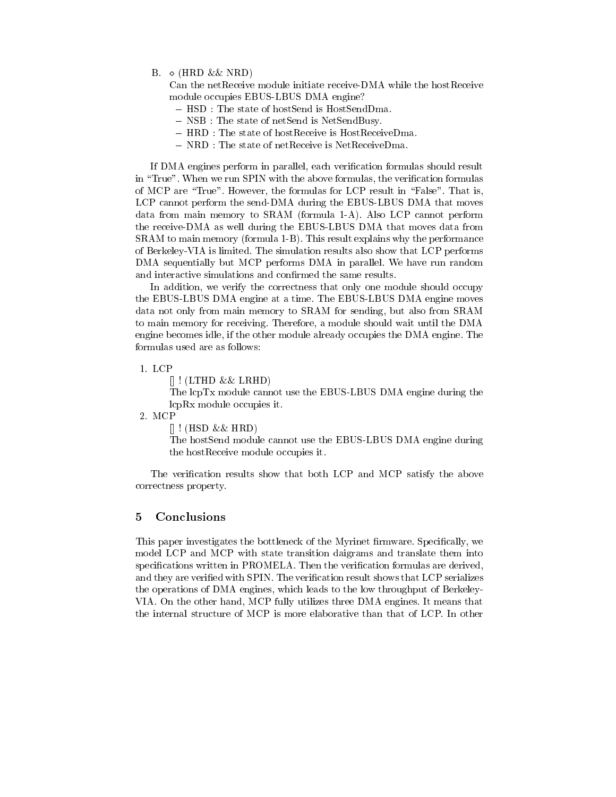# $B \sim (HRD \&\& NRD)$

Can the netReceive module initiate receive-DMA while the hostReceive module occupies EBUS-LBUS DMA engine?

- { HSD : The state of hostSend is HostSendDma.
- { NSB : The state of netSend is NetSendBusy.
- { HRD : The state of hostReceive is HostReceiveDma.
- { NRD : The state of netReceive is NetReceiveDma.

If DMA engines perform in parallel, each verication formulas should result in "True". When we run SPIN with the above formulas, the verification formulas of MCP are "True". However, the formulas for LCP result in "False". That is, LCP cannot perform the send-DMA during the EBUS-LBUS DMA that moves data from main memory to SRAM (formula 1-A). Also LCP cannot perform the receive-DMA as well during the EBUS-LBUS DMA that moves data from SRAM to main memory (formula 1-B). This result explains why the performance of Berkeley-VIA is limited. The simulation results also show that LCP performs DMA sequentially but MCP performs DMA in parallel. We have run random and interactive simulations and confirmed the same results.

In addition, we verify the correctness that only one module should occupy the EBUS-LBUS DMA engine at a time. The EBUS-LBUS DMA engine moves data not only from main memory to SRAM for sending, but also from SRAM to main memory for receiving. Therefore, a module should wait until the DMA engine becomes idle, if the other module already occupies the DMA engine. The formulas used are as follows:

 $\parallel$  ! (LTHD && LRHD)

The lcpTx module cannot use the EBUS-LBUS DMA engine during the lcpRx module occupies it.

2. MCP

 $\parallel$  ! (HSD && HRD)

The hostSend module cannot use the EBUS-LBUS DMA engine during the hostReceive module occupies it.

The verification results show that both LCP and MCP satisfy the above correctness property.

# Conclusions

This paper investigates the bottleneck of the Myrinet firmware. Specifically, we model LCP and MCP with state transition daigrams and translate them into specifications written in PROMELA. Then the verification formulas are derived, and they are verified with SPIN. The verification result shows that LCP serializes the operations of DMA engines, which leads to the low throughput of Berkeley-VIA. On the other hand, MCP fully utilizes three DMA engines. It means that the internal structure of MCP is more elaborative than that of LCP. In other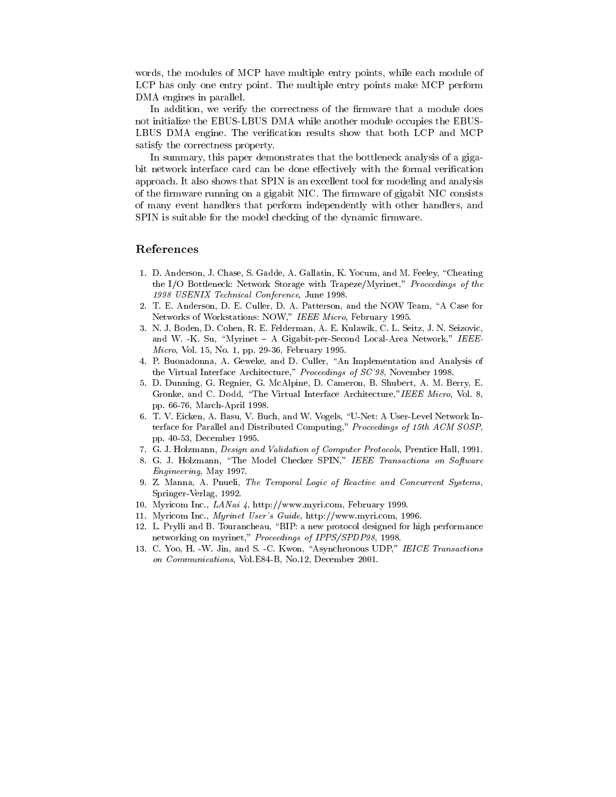words, the modules of MCP have multiple entry points, while each module of LCP has only one entry point. The multiple entry points make MCP perform DMA engines in parallel.

In addition, we verify the correctness of the firmware that a module does not initialize the EBUS-LBUS DMA while another module occupies the EBUS-LBUS DMA engine. The verification results show that both LCP and MCP satisfy the correctness property.

In summary, this paper demonstrates that the bottleneck analysis of a gigabit network interface card can be done effectively with the formal verification approach. It also shows that SPIN is an excellent tool for modeling and analysis of the firmware running on a gigabit NIC. The firmware of gigabit NIC consists of many event handlers that perform independently with other handlers, and SPIN is suitable for the model checking of the dynamic firmware.

# References

- 1. D. Anderson, J. Chase, S. Gadde, A. Gallatin, K. Yocum, and M. Feeley, \Cheating the I/O Bottleneck: Network Storage with Trapeze/Myrinet," Proceedings of the 1998 USENIX Technical Conference, June 1998.
- 2. T. E. Anderson, D. E. Culler, D. A. Patterson, and the NOW Team, \A Case for Networks of Workstations: NOW," IEEE Micro, February 1995.
- 3. N. J. Boden, D. Cohen, R. E. Felderman, A. E. Kulawik, C. L. Seitz, J. N. Seizovic, and W. -K. Su, "Myrinet - A Gigabit-per-Second Local-Area Network," IEEE-Micro, Vol. 15, No. 1, pp. 29-36, February 1995.
- 4. P. Buonadonna, A. Geweke, and D. Culler, "An Implementation and Analysis of the Virtual Interface Architecture," Proceedings of SC'98, November 1998.
- 5. D. Dunning, G. Regnier, G. McAlpine, D. Cameron, B. Shubert, A. M. Berry, E. Gronke, and C. Dodd, "The Virtual Interface Architecture,"IEEE Micro, Vol. 8, pp. 66-76, March-April 1998.
- 6. T. V. Eicken, A. Basu, V. Buch, and W. Vogels, \U-Net: A User-Level Network Interface for Parallel and Distributed Computing," Proceedings of 15th ACM SOSP, pp. 40-53, December 1995.
- 7. G. J. Holzmann, Design and Validation of Computer Protocols, Prentice Hall, 1991.
- 8. G. J. Holzmann, "The Model Checker SPIN," IEEE Transactions on Software Engineering, May 1997.
- 9. Z. Manna, A. Pnueli, The Temporal Logic of Reactive and Concurrent Systems, Springer-Verlag, 1992.
- 10. Myricom Inc., LANai 4, http://www.myri.com, February 1999.
- 11. Myricom Inc., Myrinet User's Guide, http://www.myri.com, 1996.
- 12. L. Prylli and B. Tourancheau, "BIP: a new protocol designed for high performance networking on myrinet," Proceedings of IPPS/SPDP98, 1998.
- 13. C. Yoo, H. -W. Jin, and S. -C. Kwon, "Asynchronous UDP," IEICE Transactions on Communications, Vol.E84-B, No.12, December 2001.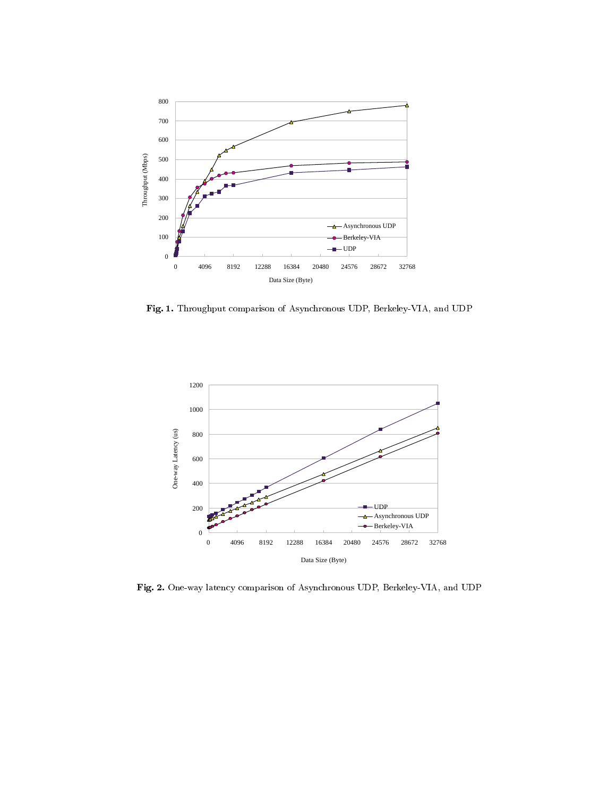

Fig. 1. Throughput comparison of Asynchronous UDP, Berkeley-VIA, and UDP



Fig. 2. One-way latency comparison of Asynchronous UDP, Berkeley-VIA, and UDP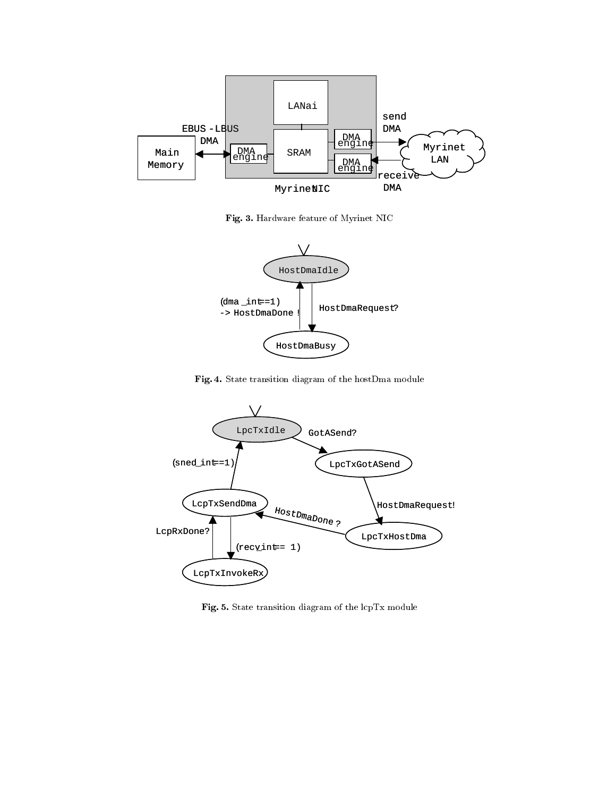

Fig. 3. Hardware feature of Myrinet NIC



Fig. 4. State transition diagram of the hostDma module



Fig. 5. State transition diagram of the lcpTx module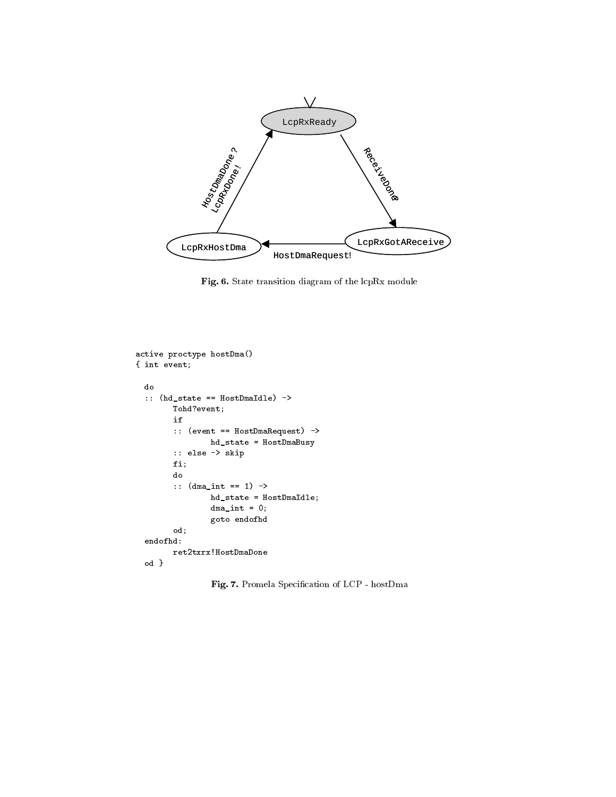

Fig. 6. State transition diagram of the lcpRx module

```
active proctype hostDma()
{ int event;
 do
 :: (hd_state == HostDmaIdle) ->
        Tohd?event;
        if
        :: (event == HostDmaRequest) ->
                hd_state = HostDmaBusy
        :: else -> skip
        fi;
        do
        :: (dma_int == 1) ->
                hd_state = HostDmaIdle;
                dma\_int = 0;goto endofhd
        od;
 endofhd:
        ret2txrx!HostDmaDone
 od }
```
Fig. 7. Promela Specication of LCP - hostDma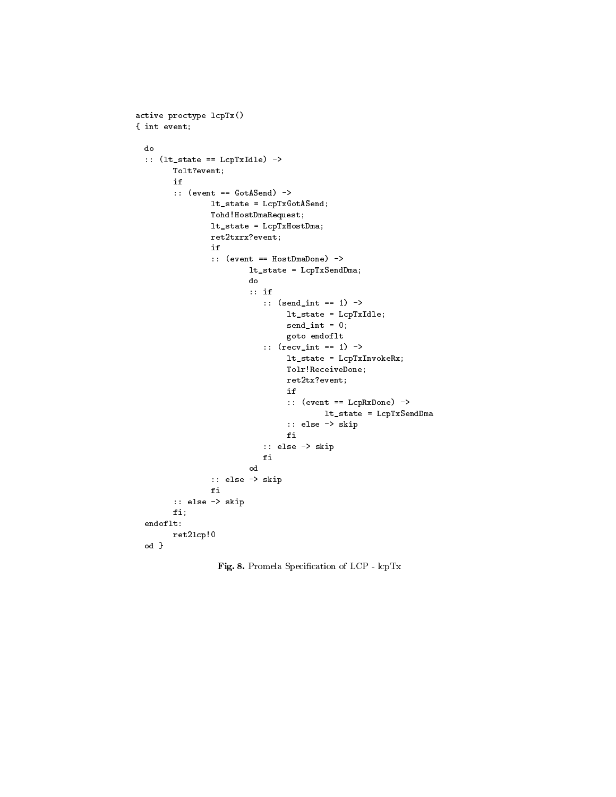```
active proctype lcpTx()
{ int event;
 do
 :: (lt_state == LcpTxIdle) ->
        Tolt?event;
        if
        :: (event == GotASend) ->
                lt_state = LcpTxGotASend;
                Tohd!HostDmaRequest;
                lt_state = LcpTxHostDma;
                ret2txrx?event;
                if
                :: (event == HostDmaDone) ->
                        lt_state = LcpTxSendDma;
                        do
                        :: if
                           :: (send_int == 1) ->
                                lt_state = LcpTxIdle;
                                send\_int = 0;goto endoflt
                           :: (recv_int == 1) ->
                                lt\_state = LcpTxInvokeRx;Tolr!ReceiveDone;
                                ret2tx?event;
                                if
                                :: (event == LcpRxDone) ->
                                        lt_state = LcpTxSendDma
                                :: else -> skip
                                fi
                           :: else -> skip
                           fi
                        \circd
                :: else -> skip
                fi
        :: else -> skip
       fi;
 endoflt:
        ret2lcp!0
 od }
```
Fig. 8. Promela Specification of LCP - lcpTx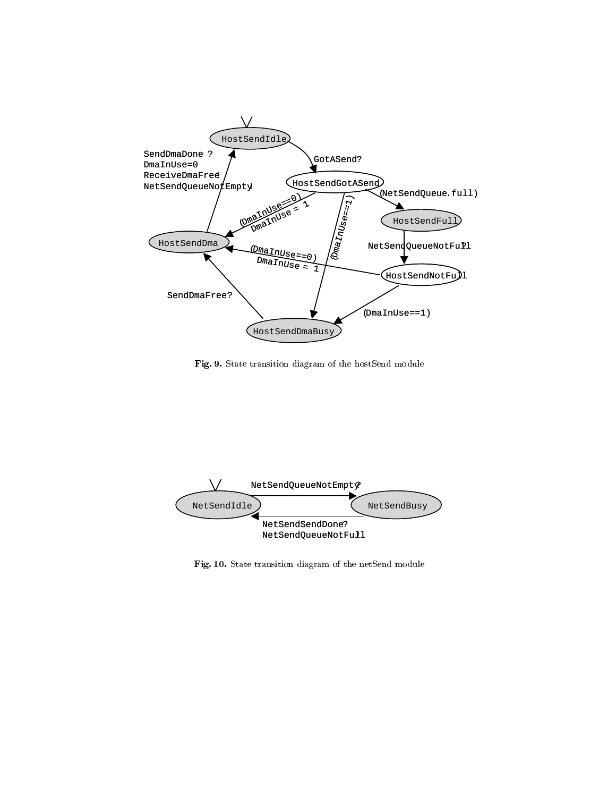

Fig. 9. State transition diagram of the hostSend module



Fig. 10. State transition diagram of the netSend module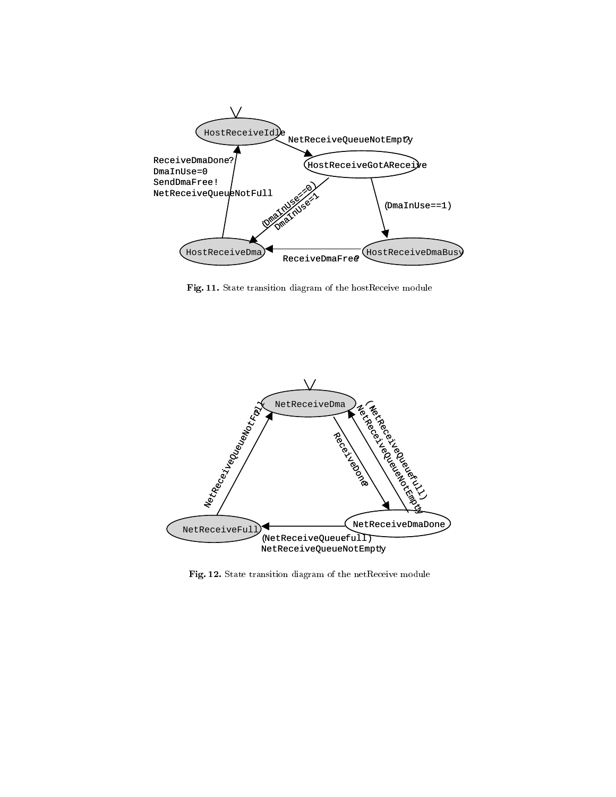

Fig. 11. State transition diagram of the hostReceive module



Fig. 12. State transition diagram of the netReceive module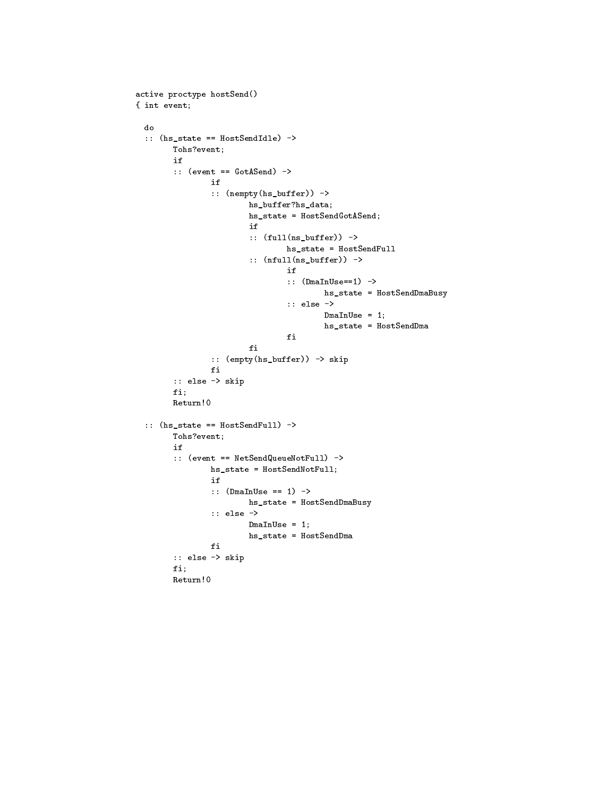```
active proctype hostSend()
{ int event;
 do
 :: (hs_state == HostSendIdle) ->
       Tohs?event;
       if
       :: (event == GotASend) ->
               if
                :: (nempty(hs_buffer)) ->
                       hs_buffer?hs_data;
                       hs_state = HostSendGotASend;
                       if
                        :: (full(ns_buffer)) ->
                                hs_state = HostSendFull
                        :: (nfull(ns_buffer)) ->
                                if
                                :: (DmaInUse==1) ->
                                        hs_state = HostSendDmaBusy
                                :: else ->
                                        DmaInUse = 1;
                                        hs_state = HostSendDma
                                fi
                        fi
               :: (empty(hs_buffer)) -> skip
               fi
       :: else -> skip
       fi;
       Return!0
 :: (hs_state == HostSendFull) ->
       Tohs?event;
       if
       :: (event == NetSendQueueNotFull) ->
               hs_state = HostSendNotFull;
                if
                :: (DmaInUse == 1) ->
                       hs_state = HostSendDmaBusy
                :: else ->
                        DmaInUse = 1;
                       hs_state = HostSendDma
               fi
       :: else -> skip
       fi;
       Return!0
```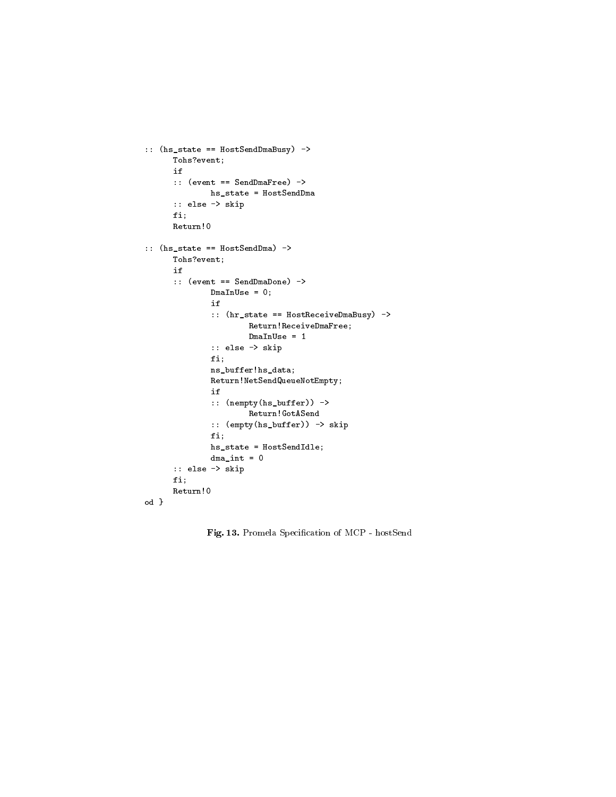```
:: (hs_state == HostSendDmaBusy) ->
     Tohs?event;
      if
      :: (event == SendDmaFree) ->
             hs_state = HostSendDma
      :: else -> skip
      fi;
      Return!0
:: (hs_state == HostSendDma) ->
      Tohs?event;
      if
      :: (event == SendDmaDone) ->
              DmaInUse = 0;if
              :: (hr_state == HostReceiveDmaBusy) ->
                      Return!ReceiveDmaFree;
                      DmaInUse = 1
              :: else -> skip
              fi;
              ns_buffer!hs_data;
              Return!NetSendQueueNotEmpty;
              if
              :: (nempty(hs_buffer)) ->
                     Return!GotASend
              :: (empty(hs_buffer)) -> skip
              fi;
              hs_state = HostSendIdle;
              dma\_int = 0:: else -> skip
      fi;
      Return!0
od }
```
Fig. 13. Promela Specification of MCP - hostSend